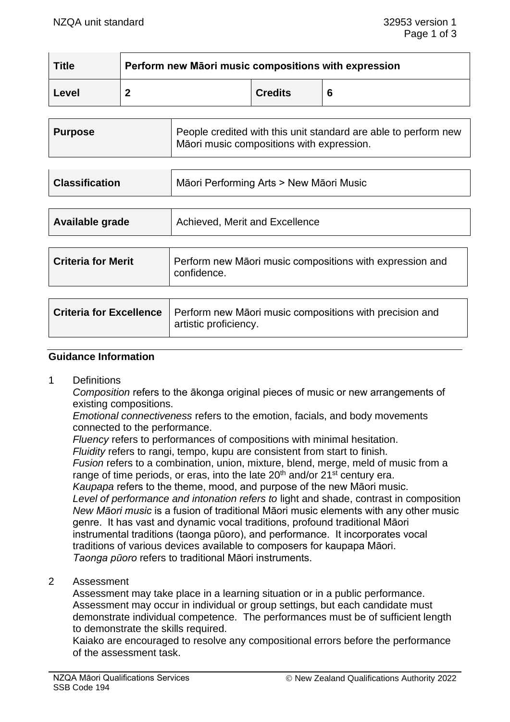| <b>Title</b>                   | Perform new Māori music compositions with expression |                                                                                                              |                |   |  |  |  |
|--------------------------------|------------------------------------------------------|--------------------------------------------------------------------------------------------------------------|----------------|---|--|--|--|
| Level                          | $\mathbf{2}$                                         |                                                                                                              | <b>Credits</b> | 6 |  |  |  |
| <b>Purpose</b>                 |                                                      | People credited with this unit standard are able to perform new<br>Māori music compositions with expression. |                |   |  |  |  |
| <b>Classification</b>          |                                                      | Māori Performing Arts > New Māori Music                                                                      |                |   |  |  |  |
| Available grade                |                                                      | Achieved, Merit and Excellence                                                                               |                |   |  |  |  |
| <b>Criteria for Merit</b>      |                                                      | Perform new Maori music compositions with expression and<br>confidence.                                      |                |   |  |  |  |
| <b>Criteria for Excellence</b> |                                                      | Perform new Māori music compositions with precision and<br>artistic proficiency.                             |                |   |  |  |  |

#### **Guidance Information**

1 Definitions

*Composition* refers to the ākonga original pieces of music or new arrangements of existing compositions.

*Emotional connectiveness* refers to the emotion, facials, and body movements connected to the performance.

*Fluency* refers to performances of compositions with minimal hesitation.

*Fluidity* refers to rangi, tempo, kupu are consistent from start to finish*.*

*Fusion* refers to a combination, union, mixture, blend, merge, meld of music from a range of time periods, or eras, into the late  $20<sup>th</sup>$  and/or  $21<sup>st</sup>$  century era.

*Kaupapa* refers to the theme, mood, and purpose of the new Māori music. Level of performance and intonation refers to light and shade, contrast in composition *New Māori music* is a fusion of traditional Māori music elements with any other music genre. It has vast and dynamic vocal traditions, profound traditional Māori instrumental traditions (taonga pūoro), and performance. It incorporates vocal traditions of various devices available to composers for kaupapa Māori. *Taonga pūoro* refers to traditional Māori instruments.

2 Assessment

Assessment may take place in a learning situation or in a public performance. Assessment may occur in individual or group settings, but each candidate must demonstrate individual competence. The performances must be of sufficient length to demonstrate the skills required.

Kaiako are encouraged to resolve any compositional errors before the performance of the assessment task.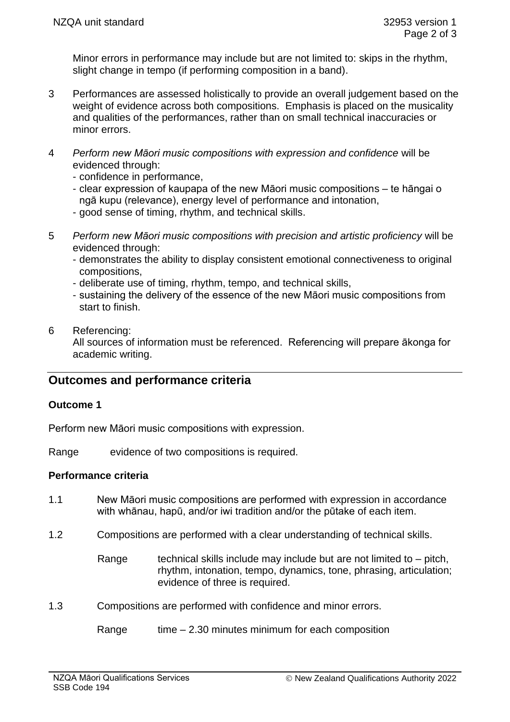Minor errors in performance may include but are not limited to: skips in the rhythm, slight change in tempo (if performing composition in a band).

- 3 Performances are assessed holistically to provide an overall judgement based on the weight of evidence across both compositions. Emphasis is placed on the musicality and qualities of the performances, rather than on small technical inaccuracies or minor errors.
- 4 *Perform new Māori music compositions with expression and confidence* will be evidenced through:
	- confidence in performance,
	- clear expression of kaupapa of the new Māori music compositions te hāngai o ngā kupu (relevance), energy level of performance and intonation,
	- good sense of timing, rhythm, and technical skills.
- 5 *Perform new Māori music compositions with precision and artistic proficiency* will be evidenced through:
	- demonstrates the ability to display consistent emotional connectiveness to original compositions,
	- deliberate use of timing, rhythm, tempo, and technical skills,
	- sustaining the delivery of the essence of the new Māori music compositions from start to finish.
- 6 Referencing:

All sources of information must be referenced. Referencing will prepare ākonga for academic writing.

# **Outcomes and performance criteria**

#### **Outcome 1**

Perform new Māori music compositions with expression.

Range evidence of two compositions is required.

#### **Performance criteria**

- 1.1 New Māori music compositions are performed with expression in accordance with whānau, hapū, and/or iwi tradition and/or the pūtake of each item.
- 1.2 Compositions are performed with a clear understanding of technical skills.
	- Range technical skills include may include but are not limited to  $-$  pitch, rhythm, intonation, tempo, dynamics, tone, phrasing, articulation; evidence of three is required.
- 1.3 Compositions are performed with confidence and minor errors.

Range  $time - 2.30$  minutes minimum for each composition